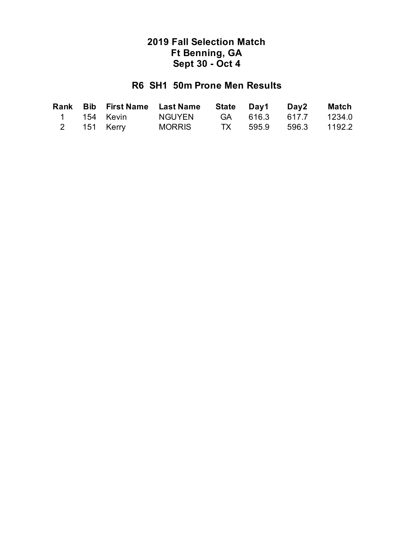## **R6 SH1 50m Prone Men Results**

|  |             | Rank Bib First Name Last Name State Day1 Day2 Match |  |                       |  |
|--|-------------|-----------------------------------------------------|--|-----------------------|--|
|  | 1 154 Kevin | NGUYEN                                              |  | GA 616.3 617.7 1234.0 |  |
|  | 2 151 Kerry | MORRIS                                              |  | TX 595.9 596.3 1192.2 |  |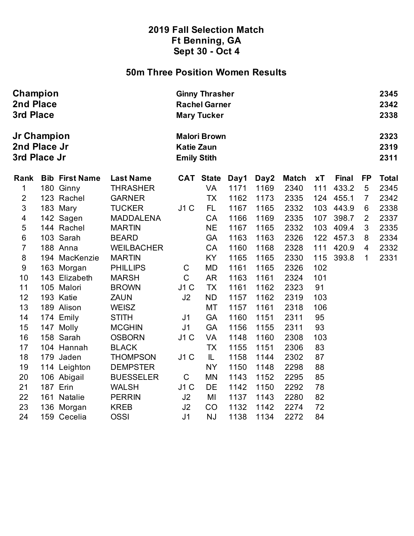### **50m Three Position Women Results**

| Champion<br>2nd Place<br>3rd Place<br>Jr Champion<br>2nd Place Jr<br>3rd Place Jr |     |                       | <b>Ginny Thrasher</b><br><b>Rachel Garner</b><br><b>Mary Tucker</b> |                |                  |      |      |              |     |              |                |              |
|-----------------------------------------------------------------------------------|-----|-----------------------|---------------------------------------------------------------------|----------------|------------------|------|------|--------------|-----|--------------|----------------|--------------|
|                                                                                   |     |                       | <b>Malori Brown</b><br><b>Katie Zaun</b><br><b>Emily Stith</b>      |                |                  |      |      |              |     |              |                |              |
| Rank                                                                              |     | <b>Bib First Name</b> | <b>Last Name</b>                                                    |                | <b>CAT State</b> | Day1 | Day2 | <b>Match</b> | xT  | <b>Final</b> | <b>FP</b>      | <b>Total</b> |
| $\mathbf{1}$                                                                      |     | 180 Ginny             | <b>THRASHER</b>                                                     |                | VA               | 1171 | 1169 | 2340         | 111 | 433.2        | $\sqrt{5}$     | 2345         |
| $\overline{2}$                                                                    |     | 123 Rachel            | <b>GARNER</b>                                                       |                | <b>TX</b>        | 1162 | 1173 | 2335         | 124 | 455.1        | $\overline{7}$ | 2342         |
| 3                                                                                 |     | 183 Mary              | <b>TUCKER</b>                                                       | J1C            | FL.              | 1167 | 1165 | 2332         | 103 | 443.9        | 6              | 2338         |
| 4                                                                                 |     | 142 Sagen             | <b>MADDALENA</b>                                                    |                | CA               | 1166 | 1169 | 2335         | 107 | 398.7        | $\overline{2}$ | 2337         |
| 5                                                                                 |     | 144 Rachel            | <b>MARTIN</b>                                                       |                | <b>NE</b>        | 1167 | 1165 | 2332         | 103 | 409.4        | 3              | 2335         |
| 6                                                                                 |     | 103 Sarah             | <b>BEARD</b>                                                        |                | <b>GA</b>        | 1163 | 1163 | 2326         | 122 | 457.3        | 8              | 2334         |
| $\overline{7}$                                                                    |     | 188 Anna              | <b>WEILBACHER</b>                                                   |                | CA               | 1160 | 1168 | 2328         | 111 | 420.9        | 4              | 2332         |
| $\bf 8$                                                                           |     | 194 MacKenzie         | <b>MARTIN</b>                                                       |                | KY               | 1165 | 1165 | 2330         | 115 | 393.8        | 1              | 2331         |
| $\boldsymbol{9}$                                                                  |     | 163 Morgan            | <b>PHILLIPS</b>                                                     | C              | <b>MD</b>        | 1161 | 1165 | 2326         | 102 |              |                |              |
| 10                                                                                |     | 143 Elizabeth         | <b>MARSH</b>                                                        | $\mathsf{C}$   | AR               | 1163 | 1161 | 2324         | 101 |              |                |              |
| 11                                                                                |     | 105 Malori            | <b>BROWN</b>                                                        | J1C            | <b>TX</b>        | 1161 | 1162 | 2323         | 91  |              |                |              |
| 12                                                                                |     | 193 Katie             | <b>ZAUN</b>                                                         | J2             | <b>ND</b>        | 1157 | 1162 | 2319         | 103 |              |                |              |
| 13                                                                                |     | 189 Alison            | <b>WEISZ</b>                                                        |                | МT               | 1157 | 1161 | 2318         | 106 |              |                |              |
| 14                                                                                |     | 174 Emily             | <b>STITH</b>                                                        | J <sub>1</sub> | <b>GA</b>        | 1160 | 1151 | 2311         | 95  |              |                |              |
| 15                                                                                |     | 147 Molly             | <b>MCGHIN</b>                                                       | J <sub>1</sub> | <b>GA</b>        | 1156 | 1155 | 2311         | 93  |              |                |              |
| 16                                                                                |     | 158 Sarah             | <b>OSBORN</b>                                                       | J1C            | VA               | 1148 | 1160 | 2308         | 103 |              |                |              |
| 17                                                                                |     | 104 Hannah            | <b>BLACK</b>                                                        |                | <b>TX</b>        | 1155 | 1151 | 2306         | 83  |              |                |              |
| 18                                                                                | 179 | Jaden                 | <b>THOMPSON</b>                                                     | J1C            | IL.              | 1158 | 1144 | 2302         | 87  |              |                |              |
| 19                                                                                |     | 114 Leighton          | <b>DEMPSTER</b>                                                     |                | <b>NY</b>        | 1150 | 1148 | 2298         | 88  |              |                |              |
| 20                                                                                |     | 106 Abigail           | <b>BUESSELER</b>                                                    | $\mathsf C$    | <b>MN</b>        | 1143 | 1152 | 2295         | 85  |              |                |              |
| 21                                                                                |     | <b>187 Erin</b>       | <b>WALSH</b>                                                        | J1C            | DE               | 1142 | 1150 | 2292         | 78  |              |                |              |
| 22                                                                                |     | 161 Natalie           | <b>PERRIN</b>                                                       | J2             | MI               | 1137 | 1143 | 2280         | 82  |              |                |              |
| 23                                                                                |     | 136 Morgan            | <b>KREB</b>                                                         | J2             | CO               | 1132 | 1142 | 2274         | 72  |              |                |              |
| 24                                                                                |     | 159 Cecelia           | <b>OSSI</b>                                                         | J <sub>1</sub> | <b>NJ</b>        | 1138 | 1134 | 2272         | 84  |              |                |              |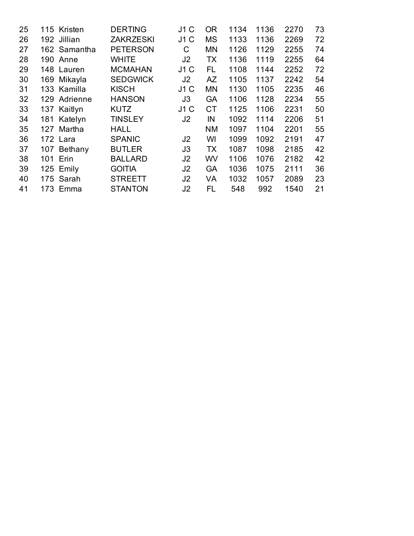| 25 |     | 115 Kristen  | <b>DERTING</b>   | J1 C | 0R        | 1134 | 1136 | 2270 | 73 |
|----|-----|--------------|------------------|------|-----------|------|------|------|----|
| 26 |     | 192 Jillian  | <b>ZAKRZESKI</b> | J1C  | <b>MS</b> | 1133 | 1136 | 2269 | 72 |
| 27 |     | 162 Samantha | <b>PETERSON</b>  | С    | <b>MN</b> | 1126 | 1129 | 2255 | 74 |
| 28 | 190 | Anne         | <b>WHITE</b>     | J2   | TX        | 1136 | 1119 | 2255 | 64 |
| 29 |     | 148 Lauren   | <b>MCMAHAN</b>   | J1C  | FL        | 1108 | 1144 | 2252 | 72 |
| 30 | 169 | Mikayla      | <b>SEDGWICK</b>  | J2   | AZ        | 1105 | 1137 | 2242 | 54 |
| 31 |     | 133 Kamilla  | <b>KISCH</b>     | J1C  | <b>MN</b> | 1130 | 1105 | 2235 | 46 |
| 32 |     | 129 Adrienne | <b>HANSON</b>    | J3   | GA        | 1106 | 1128 | 2234 | 55 |
| 33 |     | 137 Kaitlyn  | <b>KUTZ</b>      | J1C  | <b>CT</b> | 1125 | 1106 | 2231 | 50 |
| 34 |     | 181 Katelyn  | <b>TINSLEY</b>   | J2   | IN        | 1092 | 1114 | 2206 | 51 |
| 35 | 127 | Martha       | <b>HALL</b>      |      | <b>NM</b> | 1097 | 1104 | 2201 | 55 |
| 36 |     | 172 Lara     | <b>SPANIC</b>    | J2   | WI        | 1099 | 1092 | 2191 | 47 |
| 37 |     | 107 Bethany  | <b>BUTLER</b>    | JЗ   | <b>TX</b> | 1087 | 1098 | 2185 | 42 |
| 38 |     | 101 Erin     | <b>BALLARD</b>   | J2   | WV        | 1106 | 1076 | 2182 | 42 |
| 39 |     | 125 Emily    | <b>GOITIA</b>    | J2   | <b>GA</b> | 1036 | 1075 | 2111 | 36 |
| 40 | 175 | Sarah        | <b>STREETT</b>   | J2   | VA        | 1032 | 1057 | 2089 | 23 |
| 41 |     | 173 Emma     | <b>STANTON</b>   | J2   | FL        | 548  | 992  | 1540 | 21 |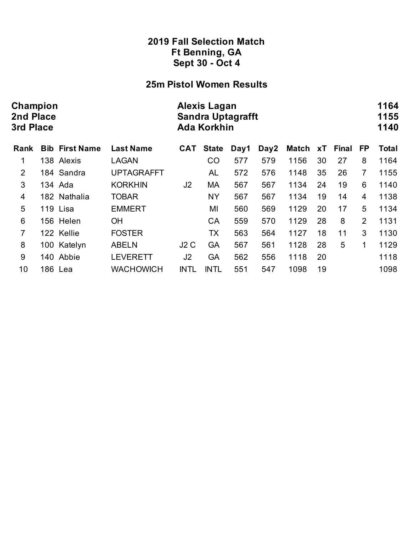## **25m Pistol Women Results**

| Champion<br>2nd Place<br>3rd Place |  |                       | <b>Alexis Lagan</b><br><b>Sandra Uptagrafft</b><br><b>Ada Korkhin</b> |                |              |      |      |              |    |       |                |              |
|------------------------------------|--|-----------------------|-----------------------------------------------------------------------|----------------|--------------|------|------|--------------|----|-------|----------------|--------------|
| <b>Rank</b>                        |  | <b>Bib First Name</b> | <b>Last Name</b>                                                      | CAT            | <b>State</b> | Day1 | Day2 | <b>Match</b> | хT | Final | FP             | <b>Total</b> |
| 1                                  |  | 138 Alexis            | <b>LAGAN</b>                                                          |                | CO           | 577  | 579  | 1156         | 30 | 27    | 8              | 1164         |
| $\overline{2}$                     |  | 184 Sandra            | <b>UPTAGRAFFT</b>                                                     |                | AL           | 572  | 576  | 1148         | 35 | 26    | 7              | 1155         |
| 3                                  |  | 134 Ada               | <b>KORKHIN</b>                                                        | J <sub>2</sub> | MA           | 567  | 567  | 1134         | 24 | 19    | 6              | 1140         |
| $\overline{4}$                     |  | 182 Nathalia          | <b>TOBAR</b>                                                          |                | <b>NY</b>    | 567  | 567  | 1134         | 19 | 14    | $\overline{4}$ | 1138         |
| 5                                  |  | 119 Lisa              | <b>EMMERT</b>                                                         |                | MI           | 560  | 569  | 1129         | 20 | 17    | 5              | 1134         |
| $6\phantom{1}6$                    |  | 156 Helen             | <b>OH</b>                                                             |                | CA           | 559  | 570  | 1129         | 28 | 8     | $\overline{2}$ | 1131         |
| 7                                  |  | 122 Kellie            | <b>FOSTER</b>                                                         |                | <b>TX</b>    | 563  | 564  | 1127         | 18 | 11    | 3              | 1130         |
| 8                                  |  | 100 Katelyn           | <b>ABELN</b>                                                          | J2C            | <b>GA</b>    | 567  | 561  | 1128         | 28 | 5     | 1              | 1129         |
| 9                                  |  | 140 Abbie             | <b>LEVERETT</b>                                                       | J2             | GA           | 562  | 556  | 1118         | 20 |       |                | 1118         |
| 10                                 |  | 186 Lea               | <b>WACHOWICH</b>                                                      | <b>INTL</b>    | <b>INTL</b>  | 551  | 547  | 1098         | 19 |       |                | 1098         |
|                                    |  |                       |                                                                       |                |              |      |      |              |    |       |                |              |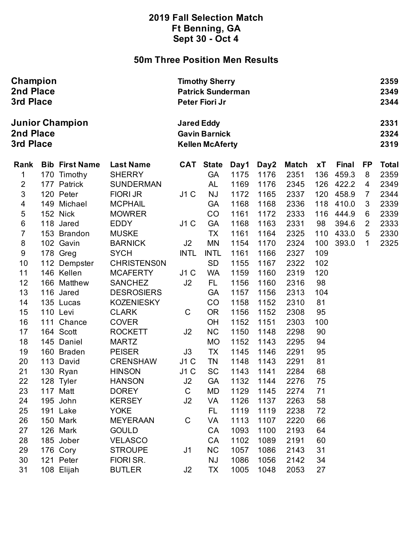## **50m Three Position Men Results**

| Champion<br>2nd Place<br>3rd Place               |     |                       |                                                                     | <b>Timothy Sherry</b><br><b>Patrick Sunderman</b><br>Peter Fiori Jr |                        |              |              |              |            |                |        |              |
|--------------------------------------------------|-----|-----------------------|---------------------------------------------------------------------|---------------------------------------------------------------------|------------------------|--------------|--------------|--------------|------------|----------------|--------|--------------|
| <b>Junior Champion</b><br>2nd Place<br>3rd Place |     |                       | <b>Jared Eddy</b><br><b>Gavin Barnick</b><br><b>Kellen McAferty</b> |                                                                     |                        |              |              |              |            |                |        |              |
| Rank                                             |     | <b>Bib First Name</b> | <b>Last Name</b>                                                    | <b>CAT</b>                                                          | <b>State</b>           | Day1         | Day2         | <b>Match</b> | xT         | Final          | FP     | <b>Total</b> |
| 1                                                | 170 | Timothy               | <b>SHERRY</b>                                                       |                                                                     | <b>GA</b>              | 1175         | 1176         | 2351         | 136        | 459.3          | 8      | 2359         |
| $\mathbf 2$<br>3                                 |     | 177 Patrick           | <b>SUNDERMAN</b>                                                    |                                                                     | AL                     | 1169         | 1176         | 2345         | 126        | 422.2          | 4      | 2349         |
| 4                                                | 149 | 120 Peter<br>Michael  | <b>FIORI JR</b><br><b>MCPHAIL</b>                                   | J1C                                                                 | <b>NJ</b><br><b>GA</b> | 1172<br>1168 | 1165<br>1168 | 2337<br>2336 | 120<br>118 | 458.9<br>410.0 | 7<br>3 | 2344<br>2339 |
| $\sqrt{5}$                                       |     | 152 Nick              | <b>MOWRER</b>                                                       |                                                                     | CO                     | 1161         | 1172         | 2333         | 116        | 444.9          | 6      | 2339         |
| $\,6$                                            | 118 | Jared                 | <b>EDDY</b>                                                         | J1C                                                                 | <b>GA</b>              | 1168         | 1163         | 2331         | 98         | 394.6          | 2      | 2333         |
| $\overline{7}$                                   |     | 153 Brandon           | <b>MUSKE</b>                                                        |                                                                     | <b>TX</b>              | 1161         | 1164         | 2325         | 110        | 433.0          | 5      | 2330         |
| $\bf 8$                                          |     | 102 Gavin             | <b>BARNICK</b>                                                      | J2                                                                  | <b>MN</b>              | 1154         | 1170         | 2324         | 100        | 393.0          | 1      | 2325         |
| $\boldsymbol{9}$                                 |     | 178 Greg              | <b>SYCH</b>                                                         | <b>INTL</b>                                                         | <b>INTL</b>            | 1161         | 1166         | 2327         | 109        |                |        |              |
| 10                                               |     | 112 Dempster          | <b>CHRISTENSON</b>                                                  |                                                                     | <b>SD</b>              | 1155         | 1167         | 2322         | 102        |                |        |              |
| 11                                               |     | 146 Kellen            | <b>MCAFERTY</b>                                                     | J1C                                                                 | <b>WA</b>              | 1159         | 1160         | 2319         | 120        |                |        |              |
| 12                                               |     | 166 Matthew           | <b>SANCHEZ</b>                                                      | J2                                                                  | FL.                    | 1156         | 1160         | 2316         | 98         |                |        |              |
| 13                                               |     | 116 Jared             | <b>DESROSIERS</b>                                                   |                                                                     | <b>GA</b>              | 1157         | 1156         | 2313         | 104        |                |        |              |
| 14                                               |     | 135 Lucas             | <b>KOZENIESKY</b>                                                   |                                                                     | CO                     | 1158         | 1152         | 2310         | 81         |                |        |              |
| 15                                               |     | 110 Levi              | <b>CLARK</b>                                                        | $\mathsf C$                                                         | <b>OR</b>              | 1156         | 1152         | 2308         | 95         |                |        |              |
| 16                                               | 111 | Chance                | <b>COVER</b>                                                        |                                                                     | OH                     | 1152         | 1151         | 2303         | 100        |                |        |              |
| 17                                               |     | 164 Scott             | <b>ROCKETT</b>                                                      | J2                                                                  | <b>NC</b>              | 1150         | 1148         | 2298         | 90         |                |        |              |
| 18                                               | 145 | Daniel                | <b>MARTZ</b>                                                        |                                                                     | <b>MO</b>              | 1152         | 1143         | 2295         | 94         |                |        |              |
| 19                                               |     | 160 Braden            | <b>PEISER</b>                                                       | J3                                                                  | <b>TX</b>              | 1145         | 1146         | 2291         | 95         |                |        |              |
| 20                                               | 113 | David                 | <b>CRENSHAW</b>                                                     | J1C                                                                 | <b>TN</b>              | 1148         | 1143         | 2291         | 81         |                |        |              |
| 21                                               |     | 130 Ryan              | <b>HINSON</b>                                                       | J1C                                                                 | <b>SC</b>              | 1143         | 1141         | 2284         | 68         |                |        |              |
| 22                                               |     | 128 Tyler             | HANSON                                                              | J2                                                                  | GA                     | 1132         | 1144         | 2276         | 75         |                |        |              |
| 23                                               |     | 117 Matt              | <b>DOREY</b>                                                        | $\mathbf C$                                                         | MD                     | 1129         | 1145         | 2274         | 71         |                |        |              |
| 24                                               |     | 195 John              | <b>KERSEY</b>                                                       | J <sub>2</sub>                                                      | VA                     | 1126         | 1137         | 2263         | 58         |                |        |              |
| 25                                               |     | 191 Lake              | <b>YOKE</b>                                                         |                                                                     | FL.                    | 1119         | 1119         | 2238         | 72         |                |        |              |
| 26                                               |     | 150 Mark              | <b>MEYERAAN</b>                                                     | $\mathsf C$                                                         | <b>VA</b>              | 1113         | 1107         | 2220         | 66         |                |        |              |
| 27                                               |     | 126 Mark              | <b>GOULD</b>                                                        |                                                                     | <b>CA</b>              | 1093         | 1100         | 2193         | 64         |                |        |              |
| 28                                               |     | 185 Jober             | <b>VELASCO</b>                                                      |                                                                     | CA                     | 1102         | 1089         | 2191         | 60         |                |        |              |
| 29                                               |     | 176 Cory              | <b>STROUPE</b>                                                      | J <sub>1</sub>                                                      | <b>NC</b>              | 1057         | 1086         | 2143         | 31         |                |        |              |
| 30                                               |     | 121 Peter             | FIORI SR.                                                           |                                                                     | <b>NJ</b>              | 1086         | 1056         | 2142         | 34         |                |        |              |
| 31                                               |     | 108 Elijah            | <b>BUTLER</b>                                                       | J2                                                                  | <b>TX</b>              | 1005         | 1048         | 2053         | 27         |                |        |              |